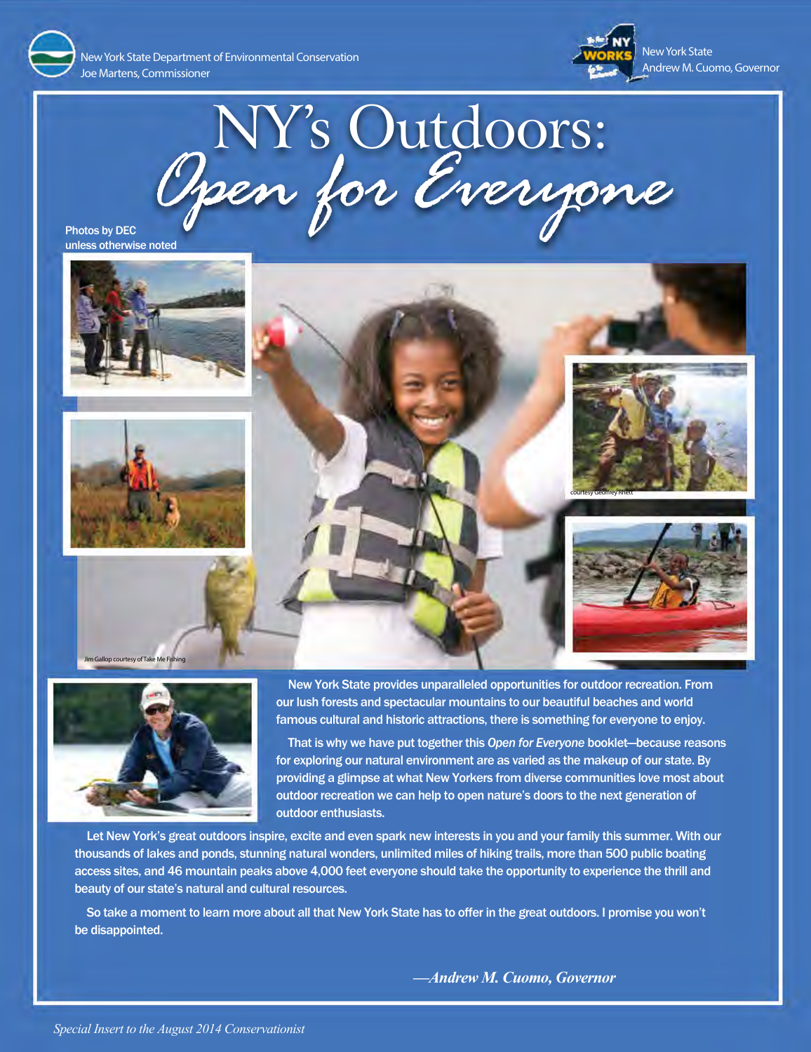New York State Department of Environmental Conservation Andrew M. Cuomo, Governor Joe Martens, Commissioner Andrew M. Cuomo, Governor Joe Martens, Commissioner Andrew M. Cuomo, Governor Joe Martens, Commissioner Andrew M.



# NY's Outdoors:<br>Open for Everyone

unless otherwise noted





our lush forests and spectacular mountains to our beautiful beaches and world New York State provides unparalleled opportunities for outdoor recreation. From famous cultural and historic attractions, there is something for everyone to enjoy.

That is why we have put together this *Open for Everyone* booklet—because reasons for exploring our natural environment are as varied as the makeup of our state. By providing a glimpse at what New Yorkers from diverse communities love most about outdoor recreation we can help to open nature's doors to the next generation of outdoor enthusiasts.

Let New York's great outdoors inspire, excite and even spark new interests in you and your family this summer. With our thousands of lakes and ponds, stunning natural wonders, unlimited miles of hiking trails, more than 500 public boating access sites, and 46 mountain peaks above 4,000 feet everyone should take the opportunity to experience the thrill and beauty of our state's natural and cultural resources.

So take a moment to learn more about all that New York State has to offer in the great outdoors. I promise you won't be disappointed.

*—Andrew M. Cuomo, Governor*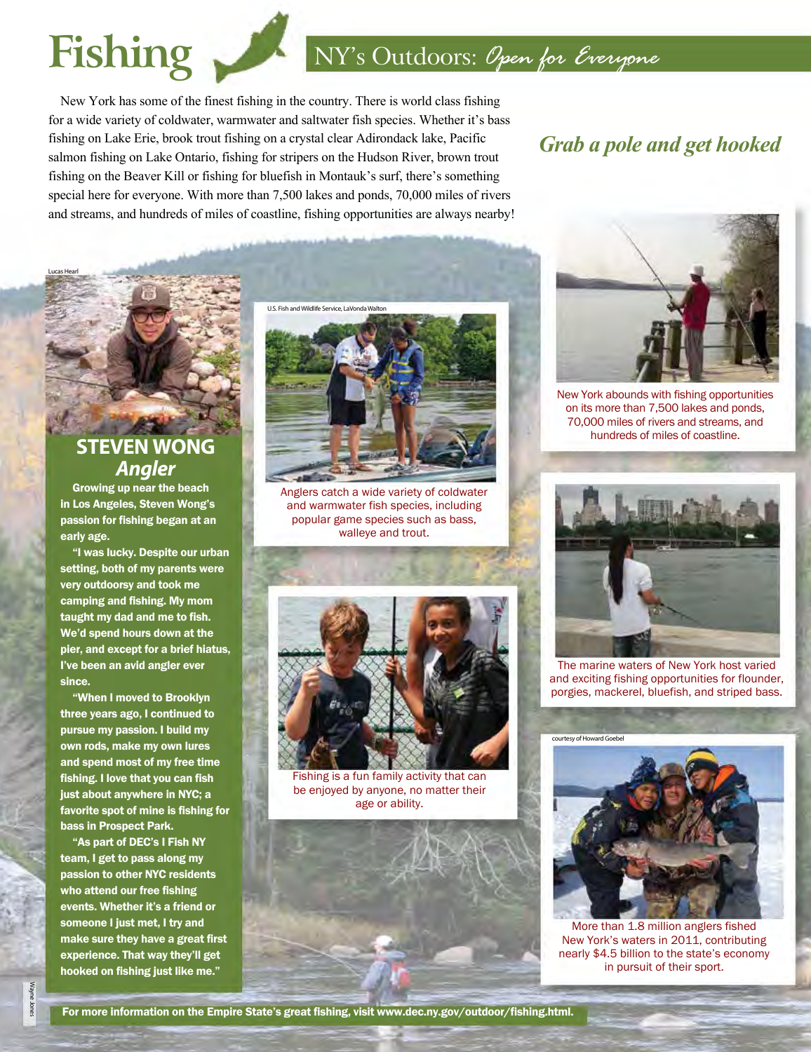

Lucas Hearl



## Fishing NY's Outdoors: Open for Everyone

New York has some of the finest fishing in the country. There is world class fishing for a wide variety of coldwater, warmwater and saltwater fish species. Whether it's bass fishing on Lake Erie, brook trout fishing on a crystal clear Adirondack lake, Pacific salmon fishing on Lake Ontario, fishing for stripers on the Hudson River, brown trout fishing on the Beaver Kill or fishing for bluefish in Montauk's surf, there's something special here for everyone. With more than 7,500 lakes and ponds, 70,000 miles of rivers and streams, and hundreds of miles of coastline, fishing opportunities are always nearby!

#### *Grab a pole and get hooked*

### **STEVEN WONG**  *Angler*

Growing up near the beach in Los Angeles, Steven Wong's passion for fishing began at an early age.

"I was lucky. Despite our urban setting, both of my parents were very outdoorsy and took me camping and fishing. My mom taught my dad and me to fish. We'd spend hours down at the pier, and except for a brief hiatus,

three years ago, I continued to pursue my passion. I build my and spend most of my free time fishing. I love that you can fish just about anywhere in NYC; a favorite spot of mine is fishing for bass in Prospect Park.

"As part of DEC's I Fish NY team, I get to pass along my passion to other NYC residents who attend our free fishing events. Whether it's a friend or someone I just met, I try and make sure they have a great first experience. That way they'll get hooked on fishing just like me."

Wayne Jones

wayn Jones

U.S. Fish and Wildlife Service, LaVonda Walton



Anglers catch a wide variety of coldwater and warmwater fish species, including popular game species such as bass, walleye and trout.



Fishing is a fun family activity that can be enjoyed by anyone, no matter their age or ability.





New York abounds with fishing opportunities on its more than 7,500 lakes and ponds, 70,000 miles of rivers and streams, and hundreds of miles of coastline.





More than 1.8 million anglers fished New York's waters in 2011, contributing nearly \$4.5 billion to the state's economy in pursuit of their sport.

For more information on the Empire State's great fishing, visit [www.dec.ny.gov/outdoor/fishing.html.](www.dec.ny.gov/outdoor/fishing.html)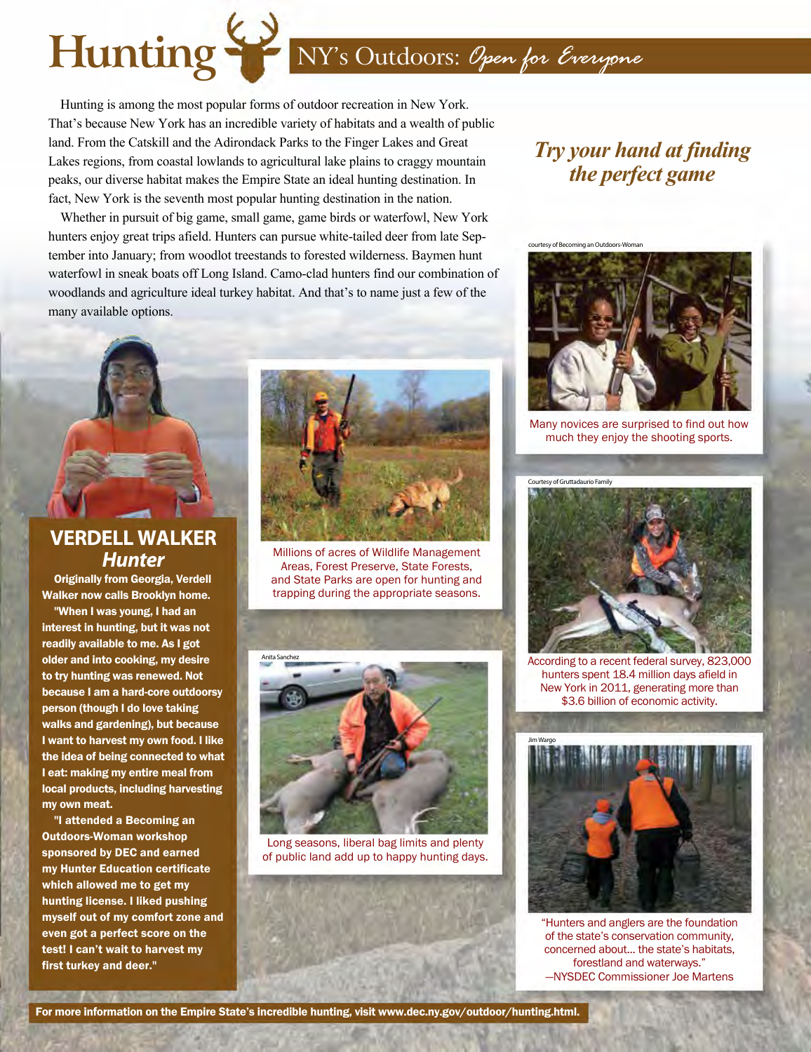# **Hunting** NY's Outdoors: *Open for Everyone*

Hunting is among the most popular forms of outdoor recreation in New York. That's because New York has an incredible variety of habitats and a wealth of public land. From the Catskill and the Adirondack Parks to the Finger Lakes and Great *Try your hand at finding*<br>Lakes regions, from coastal lowlands to agricultural lake plains to craggy mountain *the perfect game*<br>*the perfect* peaks, our diverse habitat makes the Empire State an ideal hunting destination. In fact, New York is the seventh most popular hunting destination in the nation.

Whether in pursuit of big game, small game, game birds or waterfowl, New York hunters enjoy great trips afield. Hunters can pursue white-tailed deer from late Sep-<br>courtesy of Becoming an Outdoors-Woman tember into January; from woodlot treestands to forested wilderness. Baymen hunt waterfowl in sneak boats off Long Island. Camo-clad hunters find our combination of woodlands and agriculture ideal turkey habitat. And that's to name just a few of the many available options.



Many novices are surprised to find out how much they enjoy the shooting sports.

# **VERDELL WALKER**

"When I was young, I had an interest in hunting, but it was not readily available to me. As I got walks and gardening), but because I want to harvest my own food. I like the idea of being connected to what I eat: making my entire meal from local products, including harvesting my own meat.

"I attended a Becoming an Outdoors-Woman workshop<br>
Sponsored by DEC and earned of public land add up to happy hunting days. my Hunter Education certificate which allowed me to get my hunting license. I liked pushing myself out of my comfort zone and **Exercía Community**<br> **Exercía Computers and anglers are the foundation**<br> **Exercía Computers and anglers are the foundation**<br>
of the state's conservation community first turkey and deer." **forestiand and waterways."** forestiand and waterways."



**Hunter Millions of acres of Wildlife Management**<br>**Originally from Georgia, Verdell Areas**, Forest Preserve, State Forests,<br>and State Parks are open for hunting and and State Parks are open for hunting and Walker now calls Brooklyn home. The trapping during the appropriate seasons.







even got a perfect score on the orientation of the state's conservation community,<br>
test! I can't wait to harvest my serve that the state's habitats, oncerned about... the state's habitats, concerned about... the state's habitats, —NYSDEC Commissioner Joe Martens

For more information on the Empire State's incredible hunting, visit<www.dec.ny.gov/outdoor/hunting.html>.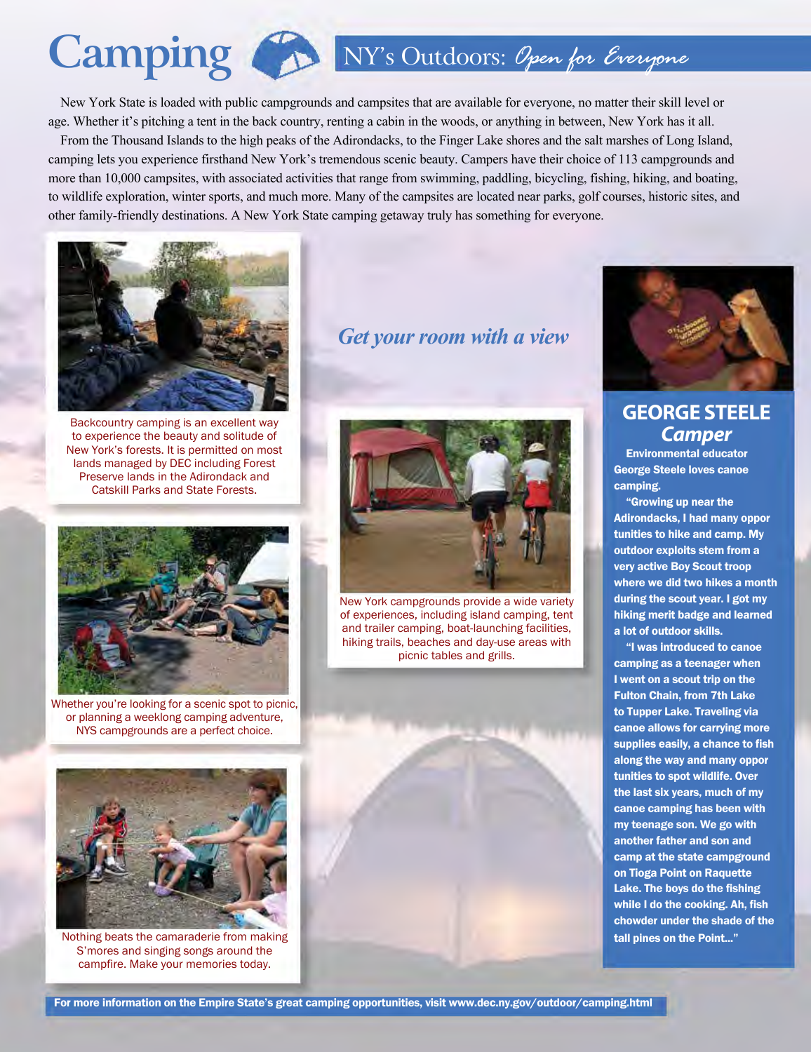New York State is loaded with public campgrounds and campsites that are available for everyone, no matter their skill level or age. Whether it's pitching a tent in the back country, renting a cabin in the woods, or anything in between, New York has it all.

**Camping** NY's Outdoors: *Open for Everyone* 

From the Thousand Islands to the high peaks of the Adirondacks, to the Finger Lake shores and the salt marshes of Long Island, camping lets you experience firsthand New York's tremendous scenic beauty. Campers have their choice of 113 campgrounds and more than 10,000 campsites, with associated activities that range from swimming, paddling, bicycling, fishing, hiking, and boating, to wildlife exploration, winter sports, and much more. Many of the campsites are located near parks, golf courses, historic sites, and other family-friendly destinations. A New York State camping getaway truly has something for everyone.

*Get your room with a view* 



Backcountry camping is an excellent way to experience the beauty and solitude of New York's forests. It is permitted on most lands managed by DEC including Forest Preserve lands in the Adirondack and Catskill Parks and State Forests.



Whether you're looking for a scenic spot to picnic, or planning a weeklong camping adventure, NYS campgrounds are a perfect choice.



Nothing beats the camaraderie from making S'mores and singing songs around the campfire. Make your memories today.

New York campgrounds provide a wide variety of experiences, including island camping, tent and trailer camping, boat-launching facilities, hiking trails, beaches and day-use areas with picnic tables and grills.



#### **GEORGE STEELE**  *Camper*

Environmental educator George Steele loves canoe camping.

**Adirondacks, I had many oppor** "Growing up near the tunities to hike and camp. My outdoor exploits stem from a very active Boy Scout troop where we did two hikes a month during the scout year. I got my hiking merit badge and learned a lot of outdoor skills.

along the way and many oppor "I was introduced to canoe camping as a teenager when I went on a scout trip on the Fulton Chain, from 7th Lake to Tupper Lake. Traveling via canoe allows for carrying more supplies easily, a chance to fish tunities to spot wildlife. Over the last six years, much of my canoe camping has been with my teenage son. We go with another father and son and camp at the state campground on Tioga Point on Raquette Lake. The boys do the fishing while I do the cooking. Ah, fish chowder under the shade of the tall pines on the Point..."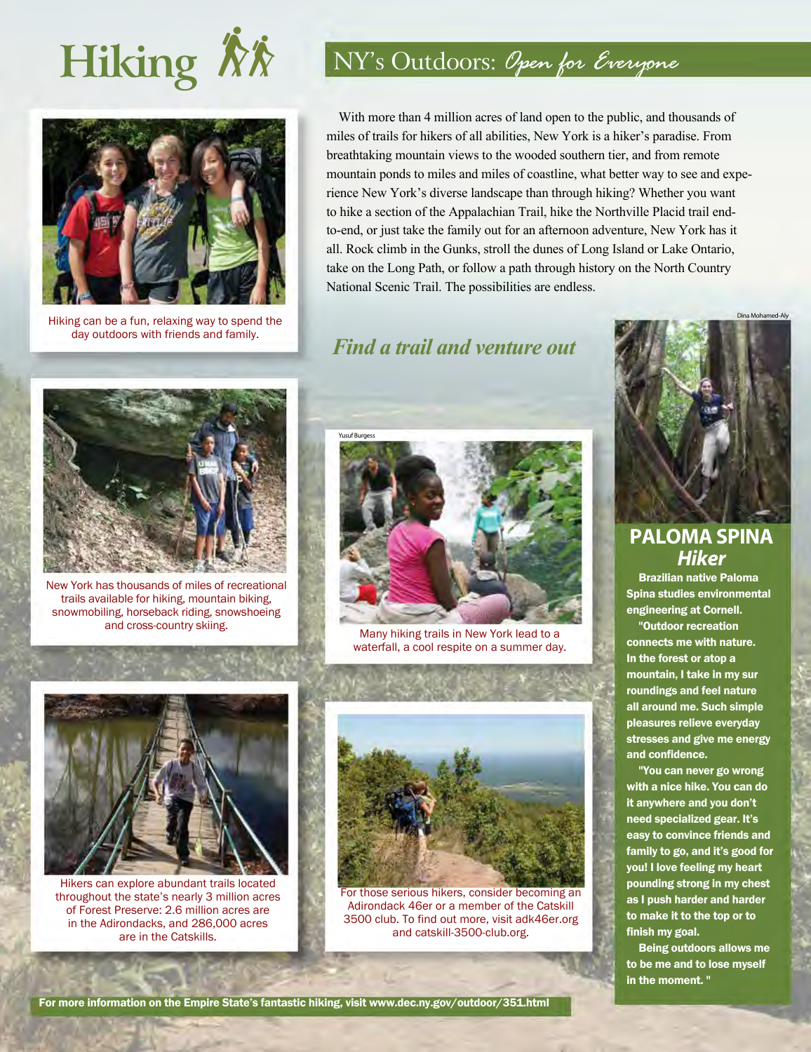



day outdoors with friends and family.

With more than 4 million acres of land open to the public, and thousands of miles of trails for hikers of all abilities, New York is a hiker's paradise. From breathtaking mountain views to the wooded southern tier, and from remote mountain ponds to miles and miles of coastline, what better way to see and experience New York's diverse landscape than through hiking? Whether you want to hike a section of the Appalachian Trail, hike the Northville Placid trail endto-end, or just take the family out for an afternoon adventure, New York has it all. Rock climb in the Gunks, stroll the dunes of Long Island or Lake Ontario, take on the Long Path, or follow a path through history on the North Country National Scenic Trail. The possibilities are endless.

#### *Find a trail and venture out*



snowmobiling, horseback riding, snowshoeing engineering at Cornell. The cornell of the cornell of the cornell of the cornell of the cornell of the cornell of the cornell. The cornell of the cornell of the cornell of the co



and cross-country skiing. The country skiing which is a many hiking trails in New York lead to a Many hiking trails in New York lead to a connects me with nature.



Hikers can explore abundant trails located<br>throughout the state's nearly 3 million acres **For those serious hikers, consider becoming an**<br>of Forest Preserve: 2.6 million acres are **and accommunity** and the cats of the Cats



of Forest Preserve: 2.6 million acres are and catskill and catskill and catskill in the Adirondacks, and 286,000 acres and catskill-3500-club.org. To find out more, visit [adk46er.org](https://adk46er.org) are in the Catskills.



#### **PALOMA SPINA**  *Hiker*

mountain, I take in my sur In the forest or atop a roundings and feel nature all around me. Such simple pleasures relieve everyday stresses and give me energy and confidence.

"You can never go wrong with a nice hike. You can do it anywhere and you don't need specialized gear. It's easy to convince friends and family to go, and it's good for you! I love feeling my heart

Being outdoors allows me to be me and to lose myself in the moment. "

For more information on the Empire State's fantastic hiking, visit <www.dec.ny.gov/outdoor/351.html>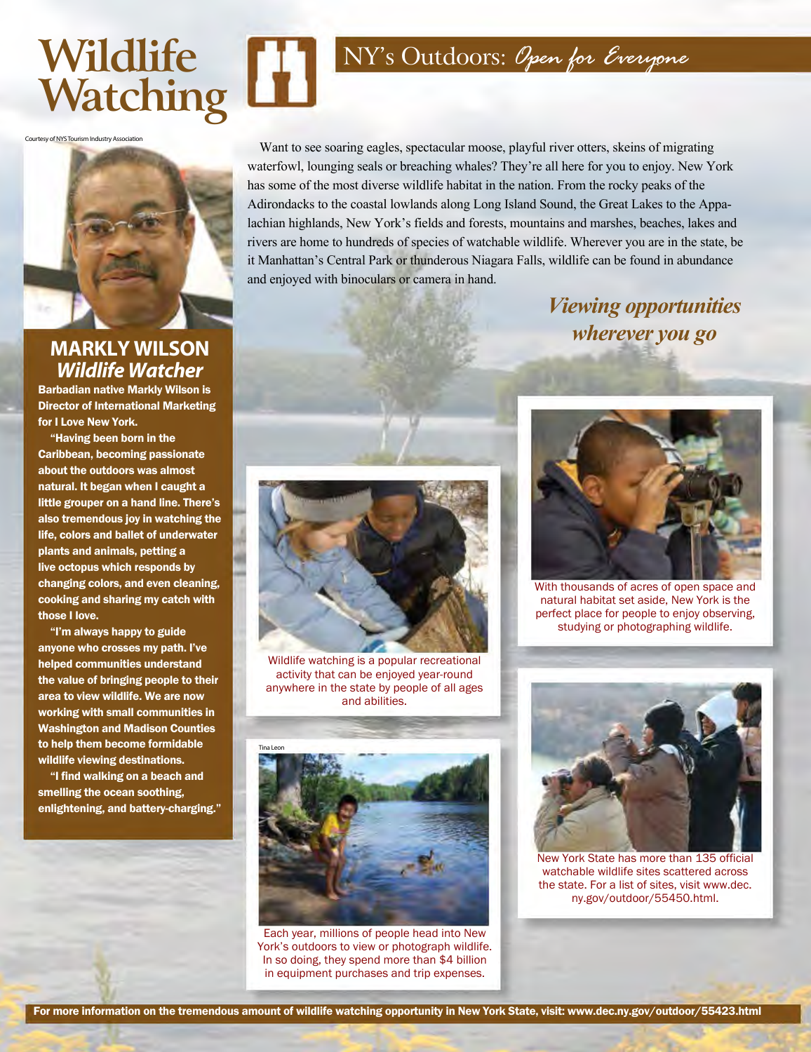# Wildlife  $\blacksquare$  NY's Outdoors: Open for Everyone **Watching**

Courtesy of NYS Tourism Industry Association



#### **MARKLY WILSON**  *Wildlife Watcher*

Barbadian native Markly Wilson is Director of International Marketing for I Love New York.

"Having been born in the Caribbean, becoming passionate about the outdoors was almost natural. It began when I caught a little grouper on a hand line. There's also tremendous joy in watching the life, colors and ballet of underwater plants and animals, petting a live octopus which responds by changing colors, and even cleaning, cooking and sharing my catch with those I love.

"I'm always happy to guide anyone who crosses my path. I've helped communities understand the value of bringing people to their area to view wildlife. We are now working with small communities in Washington and Madison Counties to help them become formidable wildlife viewing destinations.

"I find walking on a beach and smelling the ocean soothing, enlightening, and battery-charging."

Want to see soaring eagles, spectacular moose, playful river otters, skeins of migrating waterfowl, lounging seals or breaching whales? They're all here for you to enjoy. New York has some of the most diverse wildlife habitat in the nation. From the rocky peaks of the Adirondacks to the coastal lowlands along Long Island Sound, the Great Lakes to the Appalachian highlands, New York's fields and forests, mountains and marshes, beaches, lakes and rivers are home to hundreds of species of watchable wildlife. Wherever you are in the state, be it Manhattan's Central Park or thunderous Niagara Falls, wildlife can be found in abundance and enjoyed with binoculars or camera in hand.

> *Viewing opportunities wherever you go*



Wildlife watching is a popular recreational activity that can be enjoyed year-round anywhere in the state by people of all ages and abilities.



With thousands of acres of open space and natural habitat set aside, New York is the perfect place for people to enjoy observing, studying or photographing wildlife.



Each year, millions of people head into New York's outdoors to view or photograph wildlife. In so doing, they spend more than \$4 billion in equipment purchases and trip expenses.



New York State has more than 135 official watchable wildlife sites scattered across the state. For a list of sites, visit www.dec. [ny.gov/outdoor/55450.html.](https://ny.gov/outdoor/55450.html)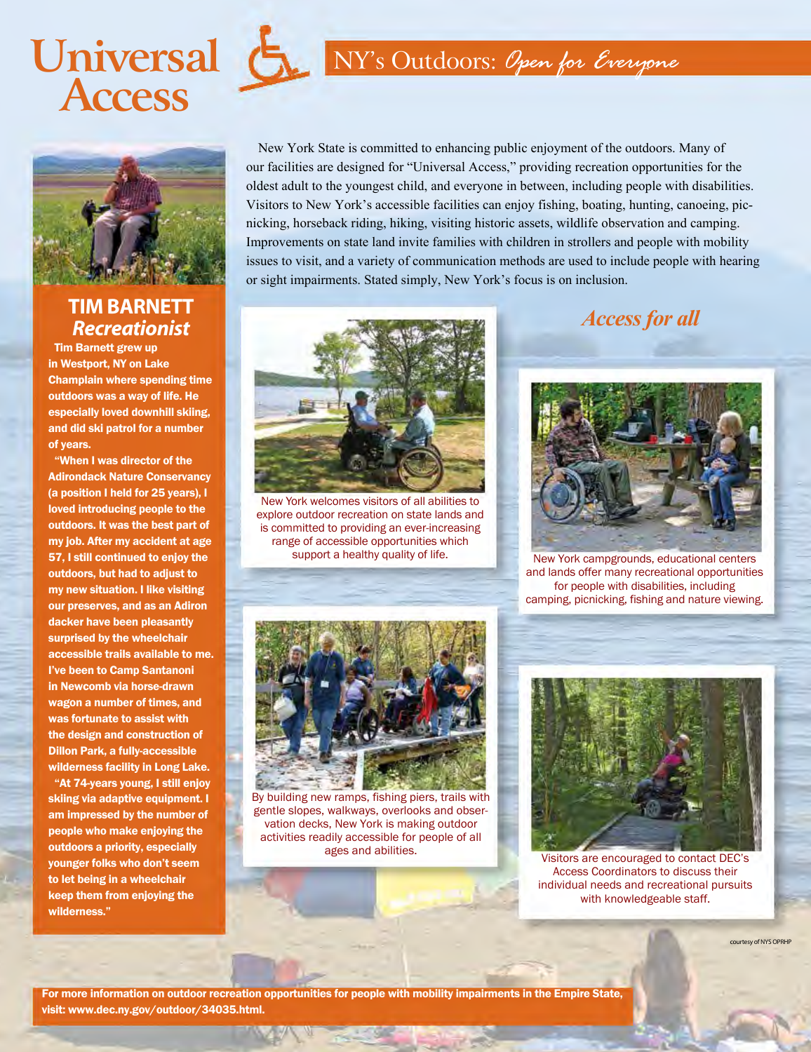# **Access**





#### **TIM BARNETT**  *Recreationist*

Tim Barnett grew up in Westport, NY on Lake Champlain where spending time outdoors was a way of life. He especially loved downhill skiing, and did ski patrol for a number of years.

our preserves, and as an Adiron "When I was director of the Adirondack Nature Conservancy (a position I held for 25 years), I loved introducing people to the outdoors. It was the best part of my job. After my accident at age 57, I still continued to enjoy the outdoors, but had to adjust to my new situation. I like visiting dacker have been pleasantly surprised by the wheelchair accessible trails available to me. I've been to Camp Santanoni in Newcomb via horse-drawn wagon a number of times, and was fortunate to assist with the design and construction of Dillon Park, a fully-accessible wilderness facility in Long Lake.

"At 74-years young, I still enjoy skiing via adaptive equipment. I am impressed by the number of people who make enjoying the outdoors a priority, especially younger folks who don't seem to let being in a wheelchair keep them from enjoying the wilderness."

New York State is committed to enhancing public enjoyment of the outdoors. Many of our facilities are designed for "Universal Access," providing recreation opportunities for the oldest adult to the youngest child, and everyone in between, including people with disabilities. Visitors to New York's accessible facilities can enjoy fishing, boating, hunting, canoeing, picnicking, horseback riding, hiking, visiting historic assets, wildlife observation and camping. Improvements on state land invite families with children in strollers and people with mobility issues to visit, and a variety of communication methods are used to include people with hearing or sight impairments. Stated simply, New York's focus is on inclusion.



New York welcomes visitors of all abilities to explore outdoor recreation on state lands and is committed to providing an ever-increasing range of accessible opportunities which support a healthy quality of life. New York campgrounds, educational centers

*Access for all* 



and lands offer many recreational opportunities for people with disabilities, including camping, picnicking, fishing and nature viewing.



By building new ramps, fishing piers, trails with gentle slopes, walkways, overlooks and observation decks, New York is making outdoor activities readily accessible for people of all



Access Coordinators to discuss their individual needs and recreational pursuits with knowledgeable staff.

courtesy of NYS OPRHP

 For more information on outdoor recreation opportunities for people with mobility impairments in the Empire State, visit: [www.dec.ny.gov/outdoor/34035.html.](www.dec.ny.gov/outdoor/34035.html)